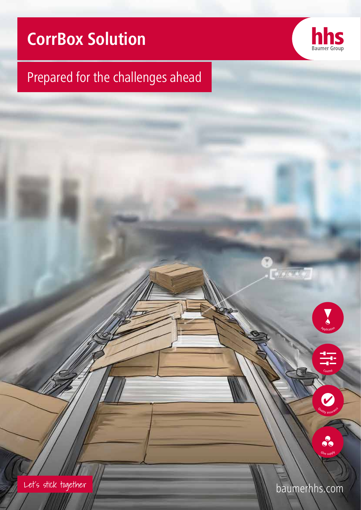# **CorrBox Solution**



# Prepared for the challenges ahead

Let's stick together

baumerhhs.com

Application

 $\sum_{i=1}^{n}$ 

<sup>Q</sup><sup>u</sup>alit<sup>y</sup> <sup>a</sup>ssuranc<sup>e</sup>

 $\Delta$ *Application* 

<sup>Q</sup><sup>u</sup>alit<sup>y</sup> <sup>a</sup>ssuranc<sup>e</sup>

Ph<sup>a</sup>rm<sup>a</sup>

Distributio<sup>n</sup>

Ho<sup>t</sup> <sup>m</sup>elt

<sup>E</sup>nd-of-lin<sup>e</sup>

Control

<sup>D</sup>istributio<sup>n</sup>

<sup>F</sup>oldin<sup>g</sup> <sup>c</sup>arto<sup>n</sup>

Stor<sup>a</sup>g<sup>e</sup>

 $\overline{\phantom{a}}$ 

Corrugated Pharmaceutic

<sup>F</sup>oldin<sup>g</sup> <sup>c</sup>arto<sup>n</sup>

<sup>G</sup>lu<sup>e</sup> <sup>s</sup><sup>u</sup>ppl<sup>y</sup>

 $\overline{\phantom{a}}$ 

<sup>G</sup>lu<sup>e</sup> <sup>s</sup><sup>u</sup>ppl<sup>y</sup>

<sup>C</sup>ol<sup>d</sup> <sup>g</sup>lu<sup>e</sup>

<sup>C</sup>orrugate<sup>d</sup>

<sup>C</sup>ol<sup>d</sup> <sup>g</sup>lu<sup>e</sup>

Stor<sup>a</sup>g<sup>e</sup>

 $Control$ 

Contro<sup>1</sup>

Control

 $\epsilon$  Control

<sup>'*Əlity* assul<sup>o</sup></sup>

Ality assul<sup>o</sup>

V

ue supp

Glue supply

80

Quality assurance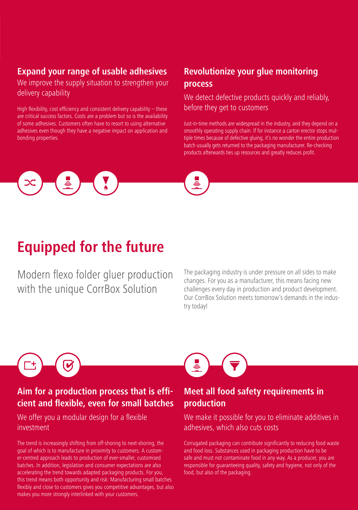## **Expand your range of usable adhesives**

We improve the supply situation to strengthen your delivery capability

High flexibility, cost efficiency and consistent delivery capability – these are critical success factors. Costs are a problem but so is the availability of some adhesives. Customers often have to resort to using alternative adhesives even though they have a negative impact on application and bonding properties.

## **Revolutionize your glue monitoring process**

#### We detect defective products quickly and reliably, before they get to customers

Just-in-time methods are widespread in the industry, and they depend on a smoothly operating supply chain. If for instance a carton erector stops multiple times because of defective gluing, it's no wonder the entire production batch usually gets returned to the packaging manufacturer. Re-checking products afterwards ties up resources and greatly reduces profit.



# **Equipped for the future**

Modern flexo folder gluer production with the unique CorrBox Solution

The packaging industry is under pressure on all sides to make changes. For you as a manufacturer, this means facing new challenges every day in production and product development. Our CorrBox Solution meets tomorrow's demands in the industry today!

#### **Aim for a production process that is efficient and flexible, even for small batches**

We offer you a modular design for a flexible investment

The trend is increasingly shifting from off-shoring to next-shoring, the goal of which is to manufacture in proximity to customers. A customer-centred approach leads to production of ever-smaller, customised batches. In addition, legislation and consumer expectations are also accelerating the trend towards adapted packaging products. For you, this trend means both opportunity and risk: Manufacturing small batches flexibly and close to customers gives you competitive advantages, but also makes you more strongly interlinked with your customers.



## **Meet all food safety requirements in production**

We make it possible for you to eliminate additives in adhesives, which also cuts costs

Corrugated packaging can contribute significantly to reducing food waste and food loss. Substances used in packaging production have to be safe and must not contaminate food in any way. As a producer, you are responsible for guaranteeing quality, safety and hygiene, not only of the food, but also of the packaging.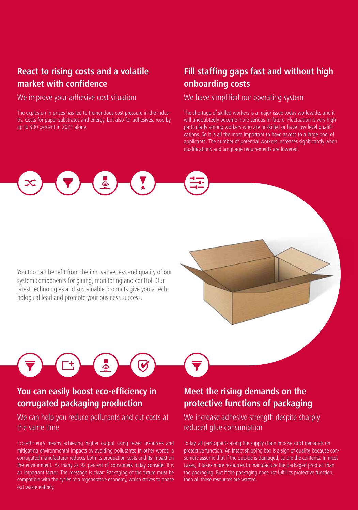### **React to rising costs and a volatile market with confidence**

We improve your adhesive cost situation

The explosion in prices has led to tremendous cost pressure in the industry. Costs for paper substrates and energy, but also for adhesives, rose by up to 300 percent in 2021 alone.

## **Fill staffing gaps fast and without high onboarding costs**

We have simplified our operating system

The shortage of skilled workers is a major issue today worldwide, and it will undoubtedly become more serious in future. Fluctuation is very high particularly among workers who are unskilled or have low-level qualifications. So it is all the more important to have access to a large pool of applicants. The number of potential workers increases significantly when qualifications and language requirements are lowered.



You too can benefit from the innovativeness and quality of our system components for gluing, monitoring and control. Our latest technologies and sustainable products give you a technological lead and promote your business success.

## **You can easily boost eco-efficiency in corrugated packaging production**

#### We can help you reduce pollutants and cut costs at the same time

 $\overline{\mathbf{C}}$ 

Eco-efficiency means achieving higher output using fewer resources and mitigating environmental impacts by avoiding pollutants: In other words, a corrugated manufacturer reduces both its production costs and its impact on the environment. As many as 92 percent of consumers today consider this an important factor. The message is clear: Packaging of the future must be compatible with the cycles of a regenerative economy, which strives to phase out waste entirely.

## **Meet the rising demands on the protective functions of packaging**

We increase adhesive strength despite sharply reduced glue consumption

Today, all participants along the supply chain impose strict demands on protective function. An intact shipping box is a sign of quality, because consumers assume that if the outside is damaged, so are the contents. In most cases, it takes more resources to manufacture the packaged product than the packaging. But if the packaging does not fulfil its protective function, then all these resources are wasted.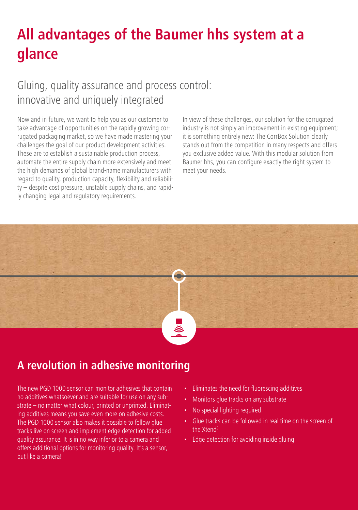# **All advantages of the Baumer hhs system at a glance**

# Gluing, quality assurance and process control: innovative and uniquely integrated

Now and in future, we want to help you as our customer to take advantage of opportunities on the rapidly growing corrugated packaging market, so we have made mastering your challenges the goal of our product development activities. These are to establish a sustainable production process, automate the entire supply chain more extensively and meet the high demands of global brand-name manufacturers with regard to quality, production capacity, flexibility and reliability – despite cost pressure, unstable supply chains, and rapidly changing legal and regulatory requirements.

In view of these challenges, our solution for the corrugated industry is not simply an improvement in existing equipment; it is something entirely new: The CorrBox Solution clearly stands out from the competition in many respects and offers you exclusive added value. With this modular solution from Baumer hhs, you can configure exactly the right system to meet your needs.



# **A revolution in adhesive monitoring**

The new PGD 1000 sensor can monitor adhesives that contain no additives whatsoever and are suitable for use on any substrate – no matter what colour, printed or unprinted. Eliminating additives means you save even more on adhesive costs. The PGD 1000 sensor also makes it possible to follow glue tracks live on screen and implement edge detection for added quality assurance. It is in no way inferior to a camera and offers additional options for monitoring quality. It's a sensor, but like a camera!

- Eliminates the need for fluorescing additives
- Monitors glue tracks on any substrate
- No special lighting required
- Glue tracks can be followed in real time on the screen of the Xtend<sup>3</sup>
- Edge detection for avoiding inside gluing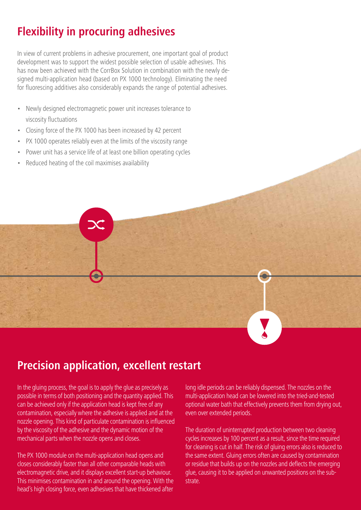# **Flexibility in procuring adhesives**

In view of current problems in adhesive procurement, one important goal of product development was to support the widest possible selection of usable adhesives. This has now been achieved with the CorrBox Solution in combination with the newly designed multi-application head (based on PX 1000 technology). Eliminating the need for fluorescing additives also considerably expands the range of potential adhesives.

- Newly designed electromagnetic power unit increases tolerance to viscosity fluctuations
- Closing force of the PX 1000 has been increased by 42 percent
- PX 1000 operates reliably even at the limits of the viscosity range
- Power unit has a service life of at least one billion operating cycles
- Reduced heating of the coil maximises availability

## **Precision application, excellent restart**

In the gluing process, the goal is to apply the glue as precisely as possible in terms of both positioning and the quantity applied. This can be achieved only if the application head is kept free of any contamination, especially where the adhesive is applied and at the nozzle opening. This kind of particulate contamination is influenced by the viscosity of the adhesive and the dynamic motion of the mechanical parts when the nozzle opens and closes.

The PX 1000 module on the multi-application head opens and closes considerably faster than all other comparable heads with electromagnetic drive, and it displays excellent start-up behaviour. This minimises contamination in and around the opening. With the head's high closing force, even adhesives that have thickened after

long idle periods can be reliably dispensed. The nozzles on the multi-application head can be lowered into the tried-and-tested optional water bath that effectively prevents them from drying out, even over extended periods.

The duration of uninterrupted production between two cleaning cycles increases by 100 percent as a result, since the time required for cleaning is cut in half. The risk of gluing errors also is reduced to the same extent. Gluing errors often are caused by contamination or residue that builds up on the nozzles and deflects the emerging glue, causing it to be applied on unwanted positions on the substrate.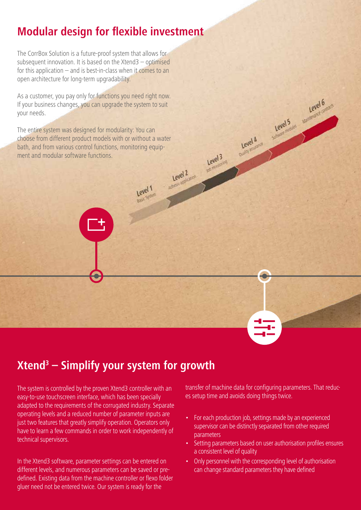# **Modular design for flexible investment**

The CorrBox Solution is a future-proof system that allows for subsequent innovation. It is based on the Xtend3 – optimised for this application – and is best-in-class when it comes to an open architecture for long-term upgradability.

As a customer, you pay only for functions you need right now. If your business changes, you can upgrade the system to suit your needs.

The entire system was designed for modularity: You can choose from different product models with or without a water bath, and from various control functions, monitoring equip-Level 2 Level 3 ment and modular software functions.

Level 1

# **Xtend3 – Simplify your system for growth**

The system is controlled by the proven Xtend3 controller with an easy-to-use touchscreen interface, which has been specially adapted to the requirements of the corrugated industry. Separate operating levels and a reduced number of parameter inputs are just two features that greatly simplify operation. Operators only have to learn a few commands in order to work independently of technical supervisors.

In the Xtend3 software, parameter settings can be entered on different levels, and numerous parameters can be saved or predefined. Existing data from the machine controller or flexo folder gluer need not be entered twice. Our system is ready for the

transfer of machine data for configuring parameters. That reduces setup time and avoids doing things twice.

Level 5 Level 6

Coality assumed

- For each production job, settings made by an experienced supervisor can be distinctly separated from other required parameters
- Setting parameters based on user authorisation profiles ensures a consistent level of quality
- Only personnel with the corresponding level of authorisation can change standard parameters they have defined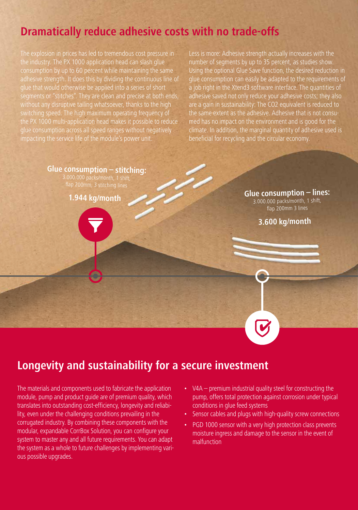## **Dramatically reduce adhesive costs with no trade-offs**

The explosion in prices has led to tremendous cost pressure in the industry. The PX 1000 application head can slash glue consumption by up to 60 percent while maintaining the same adhesive strength. It does this by dividing the continuous line of glue that would otherwise be applied into a series of short segments or "stitches". They are clean and precise at both ends, without any disruptive tailing whatsoever, thanks to the high switching speed. The high maximum operating frequency of the PX 1000 multi-application head makes it possible to reduce glue consumption across all speed ranges without negatively impacting the service life of the module's power unit.

Less is more: Adhesive strength actually increases with the number of segments by up to 35 percent, as studies show. Using the optional Glue Save function, the desired reduction in glue consumption can easily be adapted to the requirements of a job right in the Xtend3 software interface. The quantities of adhesive saved not only reduce your adhesive costs; they also are a gain in sustainability: The CO2 equivalent is reduced to the same extent as the adhesive. Adhesive that is not consumed has no impact on the environment and is good for the climate. In addition, the marginal quantity of adhesive used is beneficial for recycling and the circular economy.

**Glue consumption – stitching:** 3.000.000 packs/month, 1 shift,

flap 200mm, 3 stitching lines

**1.944 kg/month**

**Glue consumption – lines:** 3.000.000 packs/month, 1 shift, flap 200mm 3 lines

**3.600 kg/month**

## **Longevity and sustainability for a secure investment**

The materials and components used to fabricate the application module, pump and product guide are of premium quality, which translates into outstanding cost-efficiency, longevity and reliability, even under the challenging conditions prevailing in the corrugated industry. By combining these components with the modular, expandable CorrBox Solution, you can configure your system to master any and all future requirements. You can adapt the system as a whole to future challenges by implementing various possible upgrades.

- V4A premium industrial quality steel for constructing the pump, offers total protection against corrosion under typical conditions in glue feed systems
- Sensor cables and plugs with high-quality screw connections
- PGD 1000 sensor with a very high protection class prevents moisture ingress and damage to the sensor in the event of malfunction